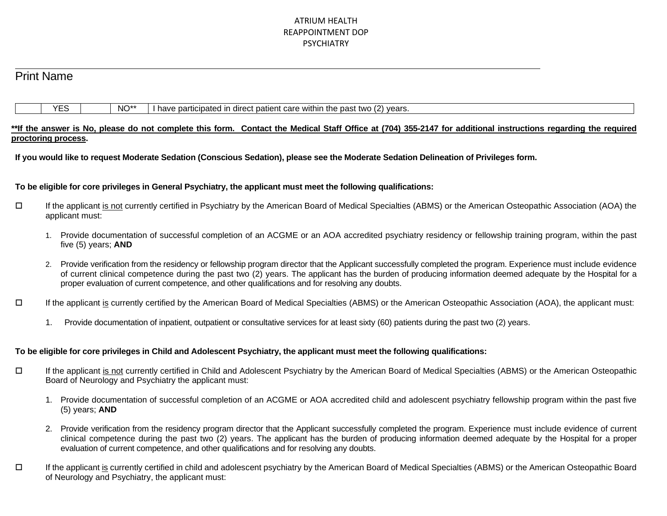### ATRIUM HEALTH REAPPOINTMENT DOP PSYCHIATRY

## Print Name

 $\ddot{\phantom{a}}$ 

| $NO^*$<br>within<br>. patien*<br>t care.<br>direct<br>e particin<br>l ın<br>pated<br>nave<br>. . | $\overline{\phantom{a}}$<br>vears.<br>$n \cdot n$<br>the<br><br>· υαა. |
|--------------------------------------------------------------------------------------------------|------------------------------------------------------------------------|
|--------------------------------------------------------------------------------------------------|------------------------------------------------------------------------|

### \*\*If the answer is No, please do not complete this form. Contact the Medical Staff Office at (704) 355-2147 for additional instructions regarding the required **proctoring process.**

**If you would like to request Moderate Sedation (Conscious Sedation), please see the Moderate Sedation Delineation of Privileges form.**

### **To be eligible for core privileges in General Psychiatry, the applicant must meet the following qualifications:**

- If the applicant is not currently certified in Psychiatry by the American Board of Medical Specialties (ABMS) or the American Osteopathic Association (AOA) the applicant must:
	- 1. Provide documentation of successful completion of an ACGME or an AOA accredited psychiatry residency or fellowship training program, within the past five (5) years; **AND**
	- 2. Provide verification from the residency or fellowship program director that the Applicant successfully completed the program. Experience must include evidence of current clinical competence during the past two (2) years. The applicant has the burden of producing information deemed adequate by the Hospital for a proper evaluation of current competence, and other qualifications and for resolving any doubts.
- If the applicant is currently certified by the American Board of Medical Specialties (ABMS) or the American Osteopathic Association (AOA), the applicant must:
	- 1. Provide documentation of inpatient, outpatient or consultative services for at least sixty (60) patients during the past two (2) years.

### **To be eligible for core privileges in Child and Adolescent Psychiatry, the applicant must meet the following qualifications:**

- If the applicant is not currently certified in Child and Adolescent Psychiatry by the American Board of Medical Specialties (ABMS) or the American Osteopathic Board of Neurology and Psychiatry the applicant must:
	- 1. Provide documentation of successful completion of an ACGME or AOA accredited child and adolescent psychiatry fellowship program within the past five (5) years; **AND**
	- 2. Provide verification from the residency program director that the Applicant successfully completed the program. Experience must include evidence of current clinical competence during the past two (2) years. The applicant has the burden of producing information deemed adequate by the Hospital for a proper evaluation of current competence, and other qualifications and for resolving any doubts.
- If the applicant is currently certified in child and adolescent psychiatry by the American Board of Medical Specialties (ABMS) or the American Osteopathic Board of Neurology and Psychiatry, the applicant must: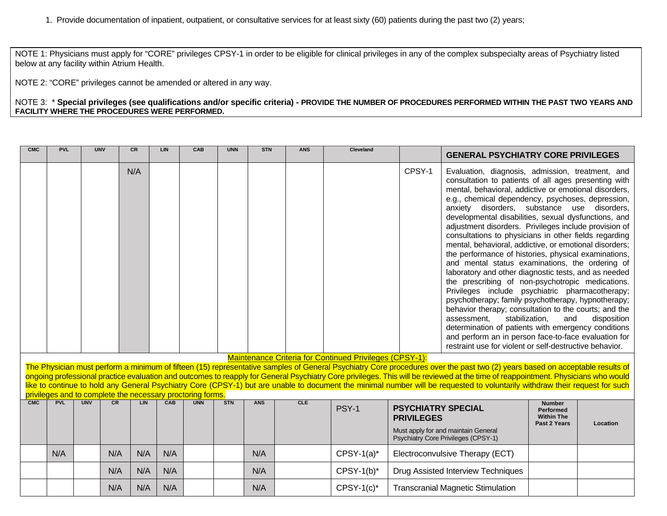NOTE 1: Physicians must apply for "CORE" privileges CPSY-1 in order to be eligible for clinical privileges in any of the complex subspecialty areas of Psychiatry listed below at any facility within Atrium Health.

NOTE 2: "CORE" privileges cannot be amended or altered in any way.

NOTE 3: \* **Special privileges (see qualifications and/or specific criteria) - PROVIDE THE NUMBER OF PROCEDURES PERFORMED WITHIN THE PAST TWO YEARS AND FACILITY WHERE THE PROCEDURES WERE PERFORMED.**

| <b>CMC</b> | <b>PVL</b> |            | <b>UNV</b> | <b>CR</b> | LIN | CAB                                                        | <b>UNN</b> | <b>STN</b> | <b>ANS</b> | <b>Cleveland</b>                                               |                                                                                                                              | <b>GENERAL PSYCHIATRY CORE PRIVILEGES</b>                                                                                                                                                                                                                                                                                                                                                                                                                                                                                                                                                                                                                                                                                                                                                                                                                                                                                                                                                                                                                                                                                           |                                                                        |          |
|------------|------------|------------|------------|-----------|-----|------------------------------------------------------------|------------|------------|------------|----------------------------------------------------------------|------------------------------------------------------------------------------------------------------------------------------|-------------------------------------------------------------------------------------------------------------------------------------------------------------------------------------------------------------------------------------------------------------------------------------------------------------------------------------------------------------------------------------------------------------------------------------------------------------------------------------------------------------------------------------------------------------------------------------------------------------------------------------------------------------------------------------------------------------------------------------------------------------------------------------------------------------------------------------------------------------------------------------------------------------------------------------------------------------------------------------------------------------------------------------------------------------------------------------------------------------------------------------|------------------------------------------------------------------------|----------|
|            |            |            |            | N/A       |     |                                                            |            |            |            |                                                                | CPSY-1                                                                                                                       | Evaluation, diagnosis, admission, treatment, and<br>consultation to patients of all ages presenting with<br>mental, behavioral, addictive or emotional disorders,<br>e.g., chemical dependency, psychoses, depression,<br>anxiety disorders, substance use disorders,<br>developmental disabilities, sexual dysfunctions, and<br>adjustment disorders. Privileges include provision of<br>consultations to physicians in other fields regarding<br>mental, behavioral, addictive, or emotional disorders;<br>the performance of histories, physical examinations,<br>and mental status examinations, the ordering of<br>laboratory and other diagnostic tests, and as needed<br>the prescribing of non-psychotropic medications.<br>Privileges include psychiatric pharmacotherapy;<br>psychotherapy; family psychotherapy, hypnotherapy;<br>behavior therapy; consultation to the courts; and the<br>stabilization,<br>assessment.<br>and<br>disposition<br>determination of patients with emergency conditions<br>and perform an in person face-to-face evaluation for<br>restraint use for violent or self-destructive behavior. |                                                                        |          |
|            |            |            |            |           |     |                                                            |            |            |            | <b>Maintenance Criteria for Continued Privileges (CPSY-1):</b> |                                                                                                                              |                                                                                                                                                                                                                                                                                                                                                                                                                                                                                                                                                                                                                                                                                                                                                                                                                                                                                                                                                                                                                                                                                                                                     |                                                                        |          |
|            |            |            |            |           |     |                                                            |            |            |            |                                                                |                                                                                                                              | The Physician must perform a minimum of fifteen (15) representative samples of General Psychiatry Core procedures over the past two (2) years based on acceptable results of<br>ongoing professional practice evaluation and outcomes to reapply for General Psychiatry Core privileges. This will be reviewed at the time of reappointment. Physicians who would                                                                                                                                                                                                                                                                                                                                                                                                                                                                                                                                                                                                                                                                                                                                                                   |                                                                        |          |
|            |            |            |            |           |     |                                                            |            |            |            |                                                                |                                                                                                                              | like to continue to hold any General Psychiatry Core (CPSY-1) but are unable to document the minimal number will be requested to voluntarily withdraw their request for such                                                                                                                                                                                                                                                                                                                                                                                                                                                                                                                                                                                                                                                                                                                                                                                                                                                                                                                                                        |                                                                        |          |
|            |            |            |            |           |     | privileges and to complete the necessary proctoring forms. |            |            |            |                                                                |                                                                                                                              |                                                                                                                                                                                                                                                                                                                                                                                                                                                                                                                                                                                                                                                                                                                                                                                                                                                                                                                                                                                                                                                                                                                                     |                                                                        |          |
| CMC        | <b>PVL</b> | <b>UNV</b> | CR         | <b>IN</b> | CAB | <b>UNN</b>                                                 | <b>STN</b> | <b>ANS</b> | <b>CLE</b> | PSY-1                                                          | <b>PSYCHIATRY SPECIAL</b><br><b>PRIVILEGES</b><br>Must apply for and maintain General<br>Psychiatry Core Privileges (CPSY-1) |                                                                                                                                                                                                                                                                                                                                                                                                                                                                                                                                                                                                                                                                                                                                                                                                                                                                                                                                                                                                                                                                                                                                     | <b>Number</b><br><b>Performed</b><br><b>Within The</b><br>Past 2 Years | Location |
|            | N/A        |            | N/A        | N/A       | N/A |                                                            |            | N/A        |            | $C$ PSY-1(a)*                                                  |                                                                                                                              | Electroconvulsive Therapy (ECT)                                                                                                                                                                                                                                                                                                                                                                                                                                                                                                                                                                                                                                                                                                                                                                                                                                                                                                                                                                                                                                                                                                     |                                                                        |          |
|            |            |            | N/A        | N/A       | N/A |                                                            |            | N/A        |            | $CPSY-1(b)^*$                                                  | Drug Assisted Interview Techniques                                                                                           |                                                                                                                                                                                                                                                                                                                                                                                                                                                                                                                                                                                                                                                                                                                                                                                                                                                                                                                                                                                                                                                                                                                                     |                                                                        |          |
|            |            |            | N/A        | N/A       | N/A |                                                            |            | N/A        |            | $C$ PSY-1 $(c)^*$                                              | <b>Transcranial Magnetic Stimulation</b>                                                                                     |                                                                                                                                                                                                                                                                                                                                                                                                                                                                                                                                                                                                                                                                                                                                                                                                                                                                                                                                                                                                                                                                                                                                     |                                                                        |          |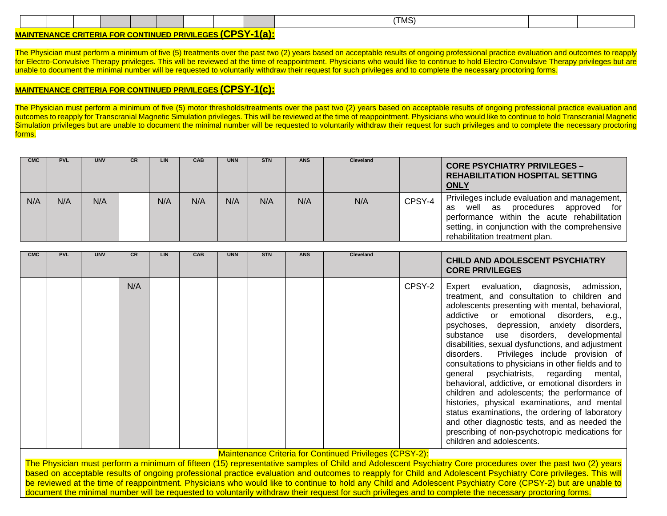|                         |  |  |  |  |  |  |  |  |  | (TMS) |  |
|-------------------------|--|--|--|--|--|--|--|--|--|-------|--|
| $I$ $\bigcap_{i=1}^n I$ |  |  |  |  |  |  |  |  |  |       |  |

### **MAINTENANCE CRITERIA FOR CONTINUED PRIVILEGES (CPSY-1(a):**

The Physician must perform a minimum of five (5) treatments over the past two (2) years based on acceptable results of ongoing professional practice evaluation and outcomes to reapply for Electro-Convulsive Therapy privileges. This will be reviewed at the time of reappointment. Physicians who would like to continue to hold Electro-Convulsive Therapy privileges but are unable to document the minimal number will be requested to voluntarily withdraw their request for such privileges and to complete the necessary proctoring forms.

### **MAINTENANCE CRITERIA FOR CONTINUED PRIVILEGES (CPSY-1(c):**

The Physician must perform a minimum of five (5) motor thresholds/treatments over the past two (2) years based on acceptable results of ongoing professional practice evaluation and outcomes to reapply for Transcranial Magnetic Simulation privileges. This will be reviewed at the time of reappointment. Physicians who would like to continue to hold Transcranial Magnetic Simulation privileges but are unable to document the minimal number will be requested to voluntarily withdraw their request for such privileges and to complete the necessary proctoring forms.

| <b>CMC</b> | <b>PVL</b> | <b>UNV</b> | CR. | LIN | <b>CAB</b> | <b>UNN</b> | <b>STN</b> | <b>ANS</b> | Cleveland |        | <b>CORE PSYCHIATRY PRIVILEGES -</b><br><b>REHABILITATION HOSPITAL SETTING</b><br><b>ONLY</b>                                                                                                                                       |
|------------|------------|------------|-----|-----|------------|------------|------------|------------|-----------|--------|------------------------------------------------------------------------------------------------------------------------------------------------------------------------------------------------------------------------------------|
| N/A        | N/A        | N/A        |     | N/A | N/A        | N/A        | N/A        | N/A        | N/A       | CPSY-4 | Privileges include evaluation and management,<br>approved for<br>procedures<br>well<br>as<br>as<br>performance within the acute rehabilitation<br>setting, in conjunction with the comprehensive<br>rehabilitation treatment plan. |

| <b>CMC</b> | <b>PVL</b> | <b>UNV</b> | <b>CR</b> | <b>LIN</b> | CAB | <b>UNN</b> | <b>STN</b> | <b>ANS</b> | <b>Cleveland</b> |        | CHILD AND ADOLESCENT PSYCHIATRY<br><b>CORE PRIVILEGES</b>                                                                                                                                                                                                                                                                                                                                                                                                                                                                                                                                                                                                                                                                                                                                                                 |  |  |
|------------|------------|------------|-----------|------------|-----|------------|------------|------------|------------------|--------|---------------------------------------------------------------------------------------------------------------------------------------------------------------------------------------------------------------------------------------------------------------------------------------------------------------------------------------------------------------------------------------------------------------------------------------------------------------------------------------------------------------------------------------------------------------------------------------------------------------------------------------------------------------------------------------------------------------------------------------------------------------------------------------------------------------------------|--|--|
|            |            |            | N/A       |            |     |            |            |            |                  | CPSY-2 | Expert evaluation, diagnosis, admission,<br>treatment, and consultation to children and<br>adolescents presenting with mental, behavioral,<br>addictive or emotional disorders, e.g.,<br>psychoses, depression, anxiety disorders,<br>substance use disorders, developmental<br>disabilities, sexual dysfunctions, and adjustment<br>disorders. Privileges include provision of<br>consultations to physicians in other fields and to<br>general psychiatrists, regarding mental,<br>behavioral, addictive, or emotional disorders in<br>children and adolescents; the performance of<br>histories, physical examinations, and mental<br>status examinations, the ordering of laboratory<br>and other diagnostic tests, and as needed the<br>prescribing of non-psychotropic medications for<br>children and adolescents. |  |  |

Maintenance Criteria for Continued Privileges (CPSY-2):

The Physician must perform a minimum of fifteen (15) representative samples of Child and Adolescent Psychiatry Core procedures over the past two (2) years based on acceptable results of ongoing professional practice evaluation and outcomes to reapply for Child and Adolescent Psychiatry Core privileges. This will be reviewed at the time of reappointment. Physicians who would like to continue to hold any Child and Adolescent Psychiatry Core (CPSY-2) but are unable to document the minimal number will be requested to voluntarily withdraw their request for such privileges and to complete the necessary proctoring forms.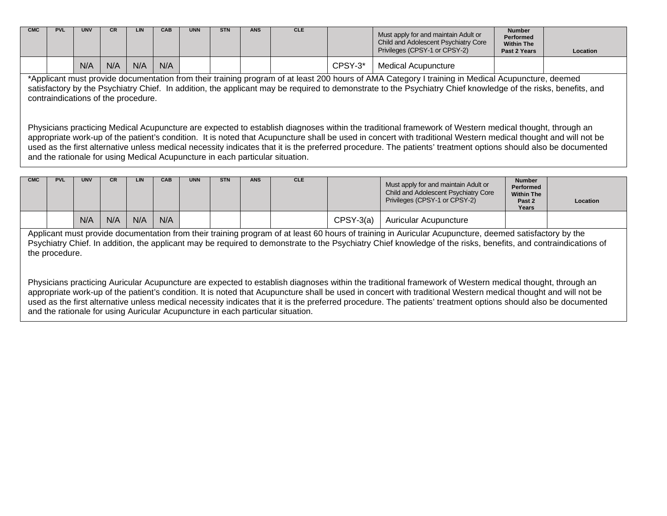| <b>CMC</b> | <b>PVL</b> | <b>UNV</b> |     | <b>LIN</b> | <b>CAB</b> | <b>UNN</b> | <b>STN</b> | <b>ANS</b> | <b>CLE</b> |         | Must apply for and maintain Adult or<br>Child and Adolescent Psychiatry Core<br>Privileges (CPSY-1 or CPSY-2) | <b>Number</b><br>Performed<br><b>Within The</b><br>Past 2 Years | Location |
|------------|------------|------------|-----|------------|------------|------------|------------|------------|------------|---------|---------------------------------------------------------------------------------------------------------------|-----------------------------------------------------------------|----------|
|            |            | N/A        | N/A | N/A        | N/A        |            |            |            |            | CPSY-3* | Medical Acupuncture                                                                                           |                                                                 |          |

\*Applicant must provide documentation from their training program of at least 200 hours of AMA Category I training in Medical Acupuncture, deemed satisfactory by the Psychiatry Chief. In addition, the applicant may be required to demonstrate to the Psychiatry Chief knowledge of the risks, benefits, and contraindications of the procedure.

Physicians practicing Medical Acupuncture are expected to establish diagnoses within the traditional framework of Western medical thought, through an appropriate work-up of the patient's condition. It is noted that Acupuncture shall be used in concert with traditional Western medical thought and will not be used as the first alternative unless medical necessity indicates that it is the preferred procedure. The patients' treatment options should also be documented and the rationale for using Medical Acupuncture in each particular situation.

| <b>CMC</b>                                                                                                                                                                                                                                                                                                                                 | <b>PVL</b> | <b>UNV</b> | CR. | <b>LIN</b> | <b>CAB</b> | <b>UNN</b> | <b>STN</b> | <b>ANS</b> | <b>CLE</b> |                 | Must apply for and maintain Adult or<br>Child and Adolescent Psychiatry Core<br>Privileges (CPSY-1 or CPSY-2) | <b>Number</b><br>Performed<br><b>Within The</b><br>Past 2<br>Years | Location |
|--------------------------------------------------------------------------------------------------------------------------------------------------------------------------------------------------------------------------------------------------------------------------------------------------------------------------------------------|------------|------------|-----|------------|------------|------------|------------|------------|------------|-----------------|---------------------------------------------------------------------------------------------------------------|--------------------------------------------------------------------|----------|
|                                                                                                                                                                                                                                                                                                                                            |            | N/A        | N/A | N/A        | N/A        |            |            |            |            | $C$ PSY-3 $(a)$ | Auricular Acupuncture                                                                                         |                                                                    |          |
| Applicant must provide documentation from their training program of at least 60 hours of training in Auricular Acupuncture, deemed satisfactory by the<br>Psychiatry Chief. In addition, the applicant may be required to demonstrate to the Psychiatry Chief knowledge of the risks, benefits, and contraindications of<br>the procedure. |            |            |     |            |            |            |            |            |            |                 |                                                                                                               |                                                                    |          |
|                                                                                                                                                                                                                                                                                                                                            |            |            |     |            |            |            |            |            |            |                 |                                                                                                               |                                                                    |          |

Physicians practicing Auricular Acupuncture are expected to establish diagnoses within the traditional framework of Western medical thought, through an appropriate work-up of the patient's condition. It is noted that Acupuncture shall be used in concert with traditional Western medical thought and will not be used as the first alternative unless medical necessity indicates that it is the preferred procedure. The patients' treatment options should also be documented and the rationale for using Auricular Acupuncture in each particular situation.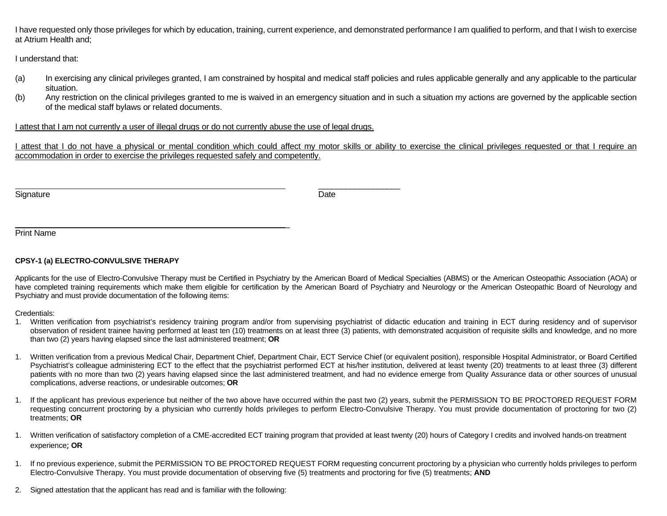I have requested only those privileges for which by education, training, current experience, and demonstrated performance I am qualified to perform, and that I wish to exercise at Atrium Health and;

I understand that:

- (a) In exercising any clinical privileges granted, I am constrained by hospital and medical staff policies and rules applicable generally and any applicable to the particular situation.
- (b) Any restriction on the clinical privileges granted to me is waived in an emergency situation and in such a situation my actions are governed by the applicable section of the medical staff bylaws or related documents.

I attest that I am not currently a user of illegal drugs or do not currently abuse the use of legal drugs.

I attest that I do not have a physical or mental condition which could affect my motor skills or ability to exercise the clinical privileges requested or that I require an accommodation in order to exercise the privileges requested safely and competently.

Signature **Date** 

 $\overline{\phantom{a}}$  , and the contract of the contract of the contract of the contract of the contract of the contract of the contract of the contract of the contract of the contract of the contract of the contract of the contrac

Print Name

### **CPSY-1 (a) ELECTRO-CONVULSIVE THERAPY**

Applicants for the use of Electro-Convulsive Therapy must be Certified in Psychiatry by the American Board of Medical Specialties (ABMS) or the American Osteopathic Association (AOA) or have completed training requirements which make them eligible for certification by the American Board of Psychiatry and Neurology or the American Osteopathic Board of Neurology and Psychiatry and must provide documentation of the following items:

Credentials:

- 1. Written verification from psychiatrist's residency training program and/or from supervising psychiatrist of didactic education and training in ECT during residency and of supervisor observation of resident trainee having performed at least ten (10) treatments on at least three (3) patients, with demonstrated acquisition of requisite skills and knowledge, and no more than two (2) years having elapsed since the last administered treatment; **OR**
- 1. Written verification from a previous Medical Chair, Department Chief, Department Chair, ECT Service Chief (or equivalent position), responsible Hospital Administrator, or Board Certified Psychiatrist's colleague administering ECT to the effect that the psychiatrist performed ECT at his/her institution, delivered at least twenty (20) treatments to at least three (3) different patients with no more than two (2) years having elapsed since the last administered treatment, and had no evidence emerge from Quality Assurance data or other sources of unusual complications, adverse reactions, or undesirable outcomes; **OR**
- 1. If the applicant has previous experience but neither of the two above have occurred within the past two (2) years, submit the PERMISSION TO BE PROCTORED REQUEST FORM requesting concurrent proctoring by a physician who currently holds privileges to perform Electro-Convulsive Therapy. You must provide documentation of proctoring for two (2) treatments; **OR**
- 1. Written verification of satisfactory completion of a CME-accredited ECT training program that provided at least twenty (20) hours of Category I credits and involved hands-on treatment experience; **OR**
- 1. If no previous experience, submit the PERMISSION TO BE PROCTORED REQUEST FORM requesting concurrent proctoring by a physician who currently holds privileges to perform Electro-Convulsive Therapy. You must provide documentation of observing five (5) treatments and proctoring for five (5) treatments; **AND**
- 2. Signed attestation that the applicant has read and is familiar with the following:

\_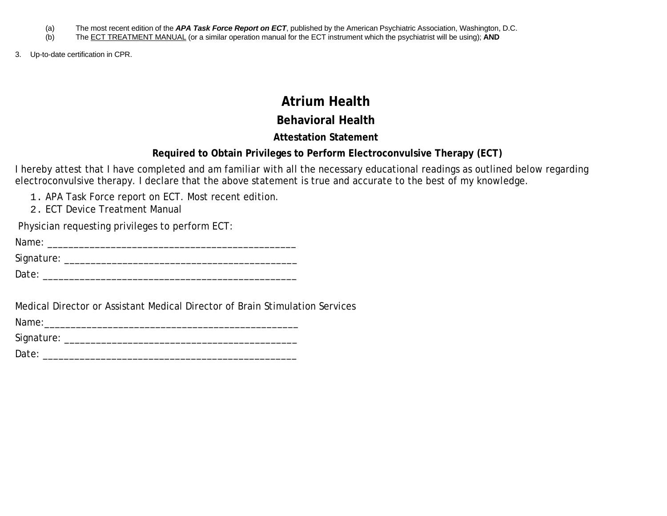- (a) The most recent edition of the *APA Task Force Report on ECT*, published by the American Psychiatric Association, Washington, D.C.<br>(b) The ECT TREATMENT MANUAL (or a similar operation manual for the ECT instrument whic
- The ECT TREATMENT MANUAL (or a similar operation manual for the ECT instrument which the psychiatrist will be using); **AND**
- 3. Up-to-date certification in CPR.

# **Atrium Health**

## **Behavioral Health**

## **Attestation Statement**

## **Required to Obtain Privileges to Perform Electroconvulsive Therapy (ECT)**

I hereby attest that I have completed and am familiar with all the necessary educational readings as outlined below regarding electroconvulsive therapy. I declare that the above statement is true and accurate to the best of my knowledge.

- 1. APA Task Force report on ECT. Most recent edition.
- 2. ECT Device Treatment Manual

Physician requesting privileges to perform ECT:

Signature: \_\_\_\_\_\_\_\_\_\_\_\_\_\_\_\_\_\_\_\_\_\_\_\_\_\_\_\_\_\_\_\_\_\_\_\_\_\_\_\_\_\_\_\_

Date: \_\_\_\_\_\_\_\_\_\_\_\_\_\_\_\_\_\_\_\_\_\_\_\_\_\_\_\_\_\_\_\_\_\_\_\_\_\_\_\_\_\_\_\_\_\_\_\_

Medical Director or Assistant Medical Director of Brain Stimulation Services

Name:\_\_\_\_\_\_\_\_\_\_\_\_\_\_\_\_\_\_\_\_\_\_\_\_\_\_\_\_\_\_\_\_\_\_\_\_\_\_\_\_\_\_\_\_\_\_\_\_

Signature: \_\_\_\_\_\_\_\_\_\_\_\_\_\_\_\_\_\_\_\_\_\_\_\_\_\_\_\_\_\_\_\_\_\_\_\_\_\_\_\_\_\_\_\_

Date: \_\_\_\_\_\_\_\_\_\_\_\_\_\_\_\_\_\_\_\_\_\_\_\_\_\_\_\_\_\_\_\_\_\_\_\_\_\_\_\_\_\_\_\_\_\_\_\_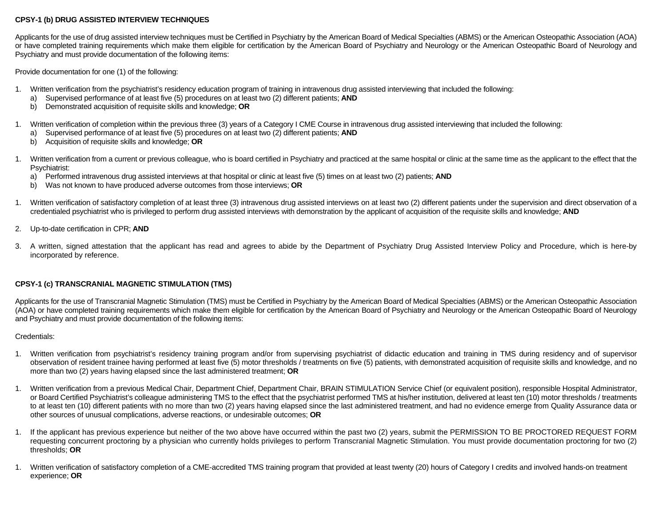#### **CPSY-1 (b) DRUG ASSISTED INTERVIEW TECHNIQUES**

Applicants for the use of drug assisted interview techniques must be Certified in Psychiatry by the American Board of Medical Specialties (ABMS) or the American Osteopathic Association (AOA) or have completed training requirements which make them eligible for certification by the American Board of Psychiatry and Neurology or the American Osteopathic Board of Neurology and Psychiatry and must provide documentation of the following items:

Provide documentation for one (1) of the following:

- 1. Written verification from the psychiatrist's residency education program of training in intravenous drug assisted interviewing that included the following:
	- a) Supervised performance of at least five (5) procedures on at least two (2) different patients; **AND**
	- b) Demonstrated acquisition of requisite skills and knowledge; **OR**
- 1. Written verification of completion within the previous three (3) years of a Category I CME Course in intravenous drug assisted interviewing that included the following:
	- a) Supervised performance of at least five (5) procedures on at least two (2) different patients; **AND**
	- b) Acquisition of requisite skills and knowledge; **OR**
- 1. Written verification from a current or previous colleague, who is board certified in Psychiatry and practiced at the same hospital or clinic at the same time as the applicant to the effect that the Psychiatrist:
	- a) Performed intravenous drug assisted interviews at that hospital or clinic at least five (5) times on at least two (2) patients; **AND**
	- b) Was not known to have produced adverse outcomes from those interviews; **OR**
- 1. Written verification of satisfactory completion of at least three (3) intravenous drug assisted interviews on at least two (2) different patients under the supervision and direct observation of a credentialed psychiatrist who is privileged to perform drug assisted interviews with demonstration by the applicant of acquisition of the requisite skills and knowledge; **AND**
- 2. Up-to-date certification in CPR; **AND**
- 3. A written, signed attestation that the applicant has read and agrees to abide by the Department of Psychiatry Drug Assisted Interview Policy and Procedure, which is here-by incorporated by reference.

### **CPSY-1 (c) TRANSCRANIAL MAGNETIC STIMULATION (TMS)**

Applicants for the use of Transcranial Magnetic Stimulation (TMS) must be Certified in Psychiatry by the American Board of Medical Specialties (ABMS) or the American Osteopathic Association (AOA) or have completed training requirements which make them eligible for certification by the American Board of Psychiatry and Neurology or the American Osteopathic Board of Neurology and Psychiatry and must provide documentation of the following items:

### Credentials:

- 1. Written verification from psychiatrist's residency training program and/or from supervising psychiatrist of didactic education and training in TMS during residency and of supervisor observation of resident trainee having performed at least five (5) motor thresholds / treatments on five (5) patients, with demonstrated acquisition of requisite skills and knowledge, and no more than two (2) years having elapsed since the last administered treatment; **OR**
- 1. Written verification from a previous Medical Chair, Department Chief, Department Chair, BRAIN STIMULATION Service Chief (or equivalent position), responsible Hospital Administrator, or Board Certified Psychiatrist's colleague administering TMS to the effect that the psychiatrist performed TMS at his/her institution, delivered at least ten (10) motor thresholds / treatments to at least ten (10) different patients with no more than two (2) years having elapsed since the last administered treatment, and had no evidence emerge from Quality Assurance data or other sources of unusual complications, adverse reactions, or undesirable outcomes; **OR**
- 1. If the applicant has previous experience but neither of the two above have occurred within the past two (2) years, submit the PERMISSION TO BE PROCTORED REQUEST FORM requesting concurrent proctoring by a physician who currently holds privileges to perform Transcranial Magnetic Stimulation. You must provide documentation proctoring for two (2) thresholds; **OR**
- 1. Written verification of satisfactory completion of a CME-accredited TMS training program that provided at least twenty (20) hours of Category I credits and involved hands-on treatment experience; **OR**